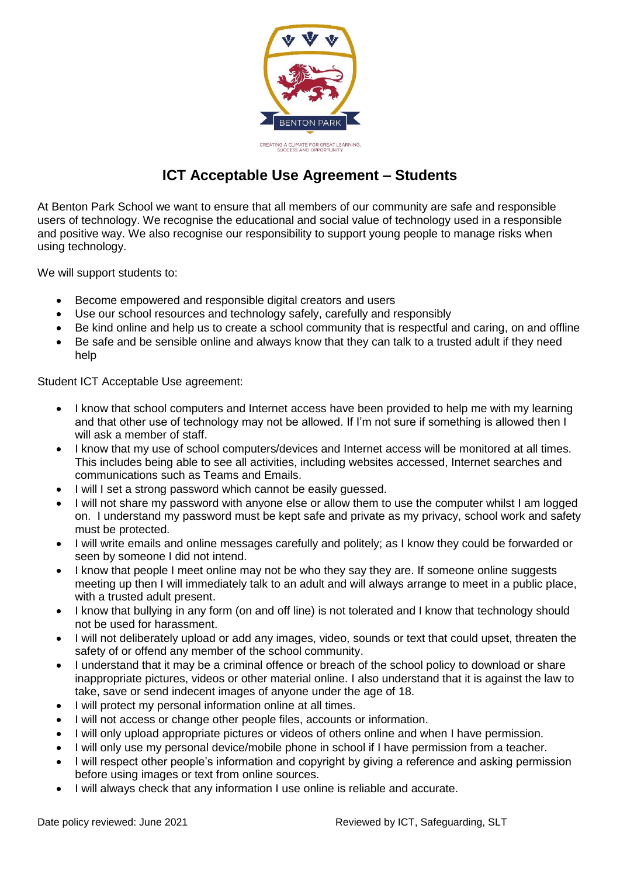

## **ICT Acceptable Use Agreement – Students**

At Benton Park School we want to ensure that all members of our community are safe and responsible users of technology. We recognise the educational and social value of technology used in a responsible and positive way. We also recognise our responsibility to support young people to manage risks when using technology.

We will support students to:

- Become empowered and responsible digital creators and users
- Use our school resources and technology safely, carefully and responsibly
- Be kind online and help us to create a school community that is respectful and caring, on and offline
- Be safe and be sensible online and always know that they can talk to a trusted adult if they need help

Student ICT Acceptable Use agreement:

- I know that school computers and Internet access have been provided to help me with my learning and that other use of technology may not be allowed. If I'm not sure if something is allowed then I will ask a member of staff.
- I know that my use of school computers/devices and Internet access will be monitored at all times. This includes being able to see all activities, including websites accessed, Internet searches and communications such as Teams and Emails.
- I will I set a strong password which cannot be easily guessed.
- I will not share my password with anyone else or allow them to use the computer whilst I am logged on. I understand my password must be kept safe and private as my privacy, school work and safety must be protected.
- I will write emails and online messages carefully and politely; as I know they could be forwarded or seen by someone I did not intend.
- I know that people I meet online may not be who they say they are. If someone online suggests meeting up then I will immediately talk to an adult and will always arrange to meet in a public place, with a trusted adult present.
- I know that bullying in any form (on and off line) is not tolerated and I know that technology should not be used for harassment.
- I will not deliberately upload or add any images, video, sounds or text that could upset, threaten the safety of or offend any member of the school community.
- I understand that it may be a criminal offence or breach of the school policy to download or share inappropriate pictures, videos or other material online. I also understand that it is against the law to take, save or send indecent images of anyone under the age of 18.
- I will protect my personal information online at all times.
- I will not access or change other people files, accounts or information.
- I will only upload appropriate pictures or videos of others online and when I have permission.
- I will only use my personal device/mobile phone in school if I have permission from a teacher.
- I will respect other people's information and copyright by giving a reference and asking permission before using images or text from online sources.
- I will always check that any information I use online is reliable and accurate.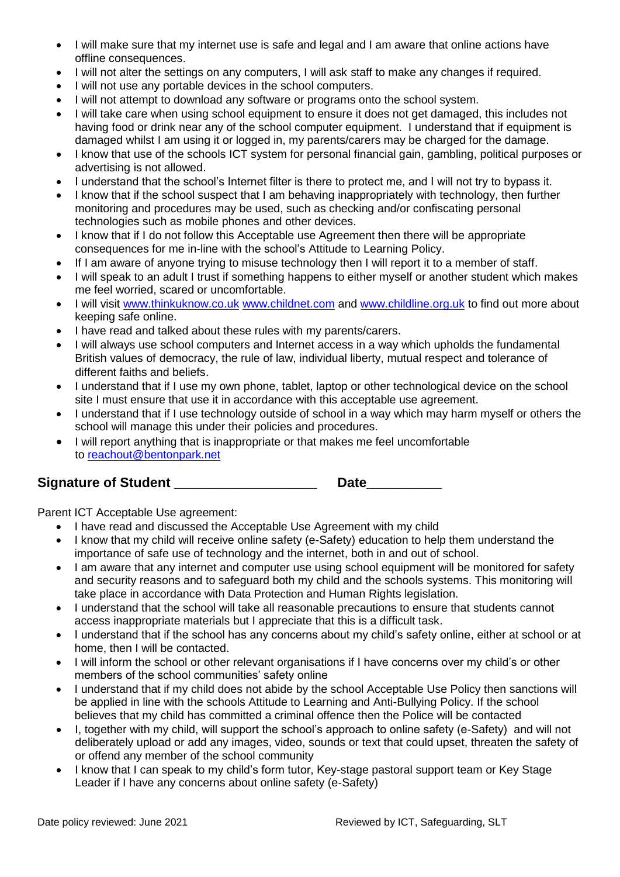- I will make sure that my internet use is safe and legal and I am aware that online actions have offline consequences.
- I will not alter the settings on any computers, I will ask staff to make any changes if required.
- I will not use any portable devices in the school computers.
- I will not attempt to download any software or programs onto the school system.
- I will take care when using school equipment to ensure it does not get damaged, this includes not having food or drink near any of the school computer equipment. I understand that if equipment is damaged whilst I am using it or logged in, my parents/carers may be charged for the damage.
- I know that use of the schools ICT system for personal financial gain, gambling, political purposes or advertising is not allowed.
- I understand that the school's Internet filter is there to protect me, and I will not try to bypass it.
- I know that if the school suspect that I am behaving inappropriately with technology, then further monitoring and procedures may be used, such as checking and/or confiscating personal technologies such as mobile phones and other devices.
- I know that if I do not follow this Acceptable use Agreement then there will be appropriate consequences for me in-line with the school's Attitude to Learning Policy.
- If I am aware of anyone trying to misuse technology then I will report it to a member of staff.
- I will speak to an adult I trust if something happens to either myself or another student which makes me feel worried, scared or uncomfortable.
- I will visit [www.thinkuknow.co.uk](http://www.thinkuknow.co.uk/) [www.childnet.com](http://www.childnet.com/) and [www.childline.org.uk](http://www.childline.org.uk/) to find out more about keeping safe online.
- I have read and talked about these rules with my parents/carers.
- I will always use school computers and Internet access in a way which upholds the fundamental British values of democracy, the rule of law, individual liberty, mutual respect and tolerance of different faiths and beliefs.
- I understand that if I use my own phone, tablet, laptop or other technological device on the school site I must ensure that use it in accordance with this acceptable use agreement.
- I understand that if I use technology outside of school in a way which may harm myself or others the school will manage this under their policies and procedures.
- I will report anything that is inappropriate or that makes me feel uncomfortable to [reachout@bentonpark.net](mailto:reachout@bentonpark.net)

## **Signature of Student \_\_\_\_\_\_\_\_\_\_\_\_\_\_\_\_\_\_\_ Date\_\_\_\_\_\_\_\_\_\_**

Parent ICT Acceptable Use agreement:

- I have read and discussed the Acceptable Use Agreement with my child
- I know that my child will receive online safety (e-Safety) education to help them understand the importance of safe use of technology and the internet, both in and out of school.
- I am aware that any internet and computer use using school equipment will be monitored for safety and security reasons and to safeguard both my child and the schools systems. This monitoring will take place in accordance with Data Protection and Human Rights legislation.
- I understand that the school will take all reasonable precautions to ensure that students cannot access inappropriate materials but I appreciate that this is a difficult task.
- I understand that if the school has any concerns about my child's safety online, either at school or at home, then I will be contacted.
- I will inform the school or other relevant organisations if I have concerns over my child's or other members of the school communities' safety online
- I understand that if my child does not abide by the school Acceptable Use Policy then sanctions will be applied in line with the schools Attitude to Learning and Anti-Bullying Policy. If the school believes that my child has committed a criminal offence then the Police will be contacted
- I, together with my child, will support the school's approach to online safety (e-Safety) and will not deliberately upload or add any images, video, sounds or text that could upset, threaten the safety of or offend any member of the school community
- I know that I can speak to my child's form tutor, Key-stage pastoral support team or Key Stage Leader if I have any concerns about online safety (e-Safety)